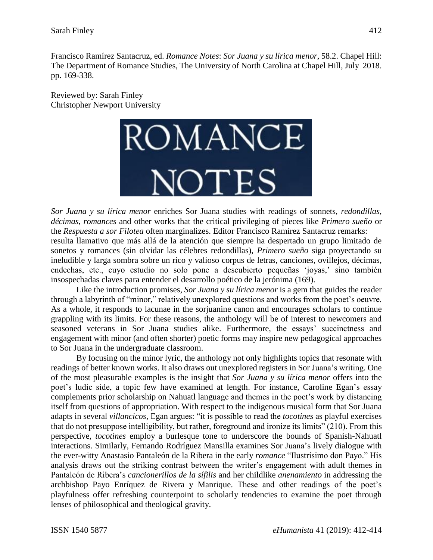Francisco Ramírez Santacruz, ed. *Romance Notes*: *Sor Juana y su lírica menor*, 58.2. Chapel Hill: The Department of Romance Studies, The University of North Carolina at Chapel Hill, July 2018. pp. 169-338.

Reviewed by: Sarah Finley Christopher Newport University



*Sor Juana y su lírica menor* enriches Sor Juana studies with readings of sonnets, *redondillas*, *décimas*, *romances* and other works that the critical privileging of pieces like *Primero sueño* or the *Respuesta a sor Filotea* often marginalizes. Editor Francisco Ramírez Santacruz remarks: resulta llamativo que más allá de la atención que siempre ha despertado un grupo limitado de sonetos y romances (sin olvidar las célebres redondillas), *Primero sueño* siga proyectando su ineludible y larga sombra sobre un rico y valioso corpus de letras, canciones, ovillejos, décimas, endechas, etc., cuyo estudio no solo pone a descubierto pequeñas 'joyas,' sino también insospechadas claves para entender el desarrollo poético de la jerónima (169).

Like the introduction promises, *Sor Juana y su lírica menor* is a gem that guides the reader through a labyrinth of "minor," relatively unexplored questions and works from the poet's oeuvre. As a whole, it responds to lacunae in the sorjuanine canon and encourages scholars to continue grappling with its limits. For these reasons, the anthology will be of interest to newcomers and seasoned veterans in Sor Juana studies alike. Furthermore, the essays' succinctness and engagement with minor (and often shorter) poetic forms may inspire new pedagogical approaches to Sor Juana in the undergraduate classroom.

By focusing on the minor lyric, the anthology not only highlights topics that resonate with readings of better known works. It also draws out unexplored registers in Sor Juana's writing. One of the most pleasurable examples is the insight that *Sor Juana y su lírica menor* offers into the poet's ludic side, a topic few have examined at length. For instance, Caroline Egan's essay complements prior scholarship on Nahuatl language and themes in the poet's work by distancing itself from questions of appropriation. With respect to the indigenous musical form that Sor Juana adapts in several *villancicos*, Egan argues: "it is possible to read the *tocotines* as playful exercises that do not presuppose intelligibility, but rather, foreground and ironize its limits" (210). From this perspective, *tocotines* employ a burlesque tone to underscore the bounds of Spanish-Nahuatl interactions. Similarly, Fernando Rodríguez Mansilla examines Sor Juana's lively dialogue with the ever-witty Anastasio Pantaleón de la Ribera in the early *romance* "Ilustrísimo don Payo." His analysis draws out the striking contrast between the writer's engagement with adult themes in Pantaleón de Ribera's *cancionerillos de la sífilis* and her childlike *anenamiento* in addressing the archbishop Payo Enríquez de Rivera y Manrique. These and other readings of the poet's playfulness offer refreshing counterpoint to scholarly tendencies to examine the poet through lenses of philosophical and theological gravity.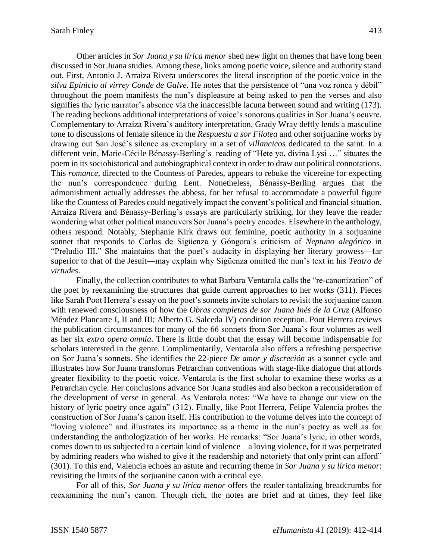Other articles in *Sor Juana y su lírica menor* shed new light on themes that have long been discussed in Sor Juana studies. Among these, links among poetic voice, silence and authority stand out. First, Antonio J. Arraiza Rivera underscores the literal inscription of the poetic voice in the *silva Epinicio al virrey Conde de Galve.* He notes that the persistence of "una voz ronca y débil" throughout the poem manifests the nun's displeasure at being asked to pen the verses and also signifies the lyric narrator's absence via the inaccessible lacuna between sound and writing (173). The reading beckons additional interpretations of voice's sonorous qualities in Sor Juana's oeuvre. Complementary to Arraiza Rivera's auditory interpretation, Grady Wray deftly lends a masculine tone to discussions of female silence in the *Respuesta a sor Filotea* and other sorjuanine works by drawing out San José's silence as exemplary in a set of *villancicos* dedicated to the saint. In a different vein, Marie-Cécile Bénassy-Berling's reading of "Hete yo, divina Lysi …" situates the poem in its sociohistorical and autobiographical context in order to draw out political connotations. This *romance*, directed to the Countess of Paredes, appears to rebuke the vicereine for expecting the nun's correspondence during Lent. Nonetheless, Bénassy-Berling argues that the admonishment actually addresses the abbess, for her refusal to accommodate a powerful figure like the Countess of Paredes could negatively impact the convent's political and financial situation. Arraiza Rivera and Bénassy-Berling's essays are particularly striking, for they leave the reader wondering what other political maneuvers Sor Juana's poetry encodes. Elsewhere in the anthology, others respond. Notably, Stephanie Kirk draws out feminine, poetic authority in a sorjuanine sonnet that responds to Carlos de Sigüenza y Góngora's criticism of *Neptuno alegórico* in "Preludio III." She maintains that the poet's audacity in displaying her literary prowess—far superior to that of the Jesuit—may explain why Sigüenza omitted the nun's text in his *Teatro de virtudes*.

Finally, the collection contributes to what Barbara Ventarola calls the "re-canonization" of the poet by reexamining the structures that guide current approaches to her works (311). Pieces like Sarah Poot Herrera's essay on the poet's sonnets invite scholars to revisit the sorjuanine canon with renewed consciousness of how the *Obras completas de sor Juana Inés de la Cruz* (Alfonso Méndez Plancarte I, II and III; Alberto G. Salceda IV) condition reception. Poot Herrera reviews the publication circumstances for many of the 66 sonnets from Sor Juana's four volumes as well as her six *extra opera omnia*. There is little doubt that the essay will become indispensable for scholars interested in the genre. Complimentarily, Ventarola also offers a refreshing perspective on Sor Juana's sonnets. She identifies the 22-piece *De amor y discreción* as a sonnet cycle and illustrates how Sor Juana transforms Petrarchan conventions with stage-like dialogue that affords greater flexibility to the poetic voice. Ventarola is the first scholar to examine these works as a Petrarchan cycle. Her conclusions advance Sor Juana studies and also beckon a reconsideration of the development of verse in general. As Ventarola notes: "We have to change our view on the history of lyric poetry once again" (312). Finally, like Poot Herrera, Felipe Valencia probes the construction of Sor Juana's canon itself. His contribution to the volume delves into the concept of "loving violence" and illustrates its importance as a theme in the nun's poetry as well as for understanding the anthologization of her works. He remarks: "Sor Juana's lyric, in other words, comes down to us subjected to a certain kind of violence – a loving violence, for it was perpetrated by admiring readers who wished to give it the readership and notoriety that only print can afford" (301). To this end, Valencia echoes an astute and recurring theme in *Sor Juana y su lírica menor*: revisiting the limits of the sorjuanine canon with a critical eye.

For all of this, *Sor Juana y su lírica menor* offers the reader tantalizing breadcrumbs for reexamining the nun's canon. Though rich, the notes are brief and at times, they feel like